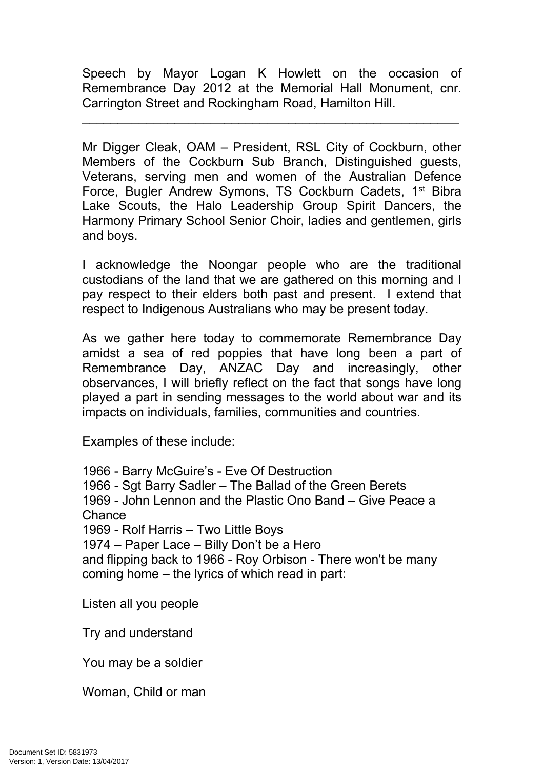Speech by Mayor Logan K Howlett on the occasion of Remembrance Day 2012 at the Memorial Hall Monument, cnr. Carrington Street and Rockingham Road, Hamilton Hill.

\_\_\_\_\_\_\_\_\_\_\_\_\_\_\_\_\_\_\_\_\_\_\_\_\_\_\_\_\_\_\_\_\_\_\_\_\_\_\_\_\_\_\_\_\_\_\_\_\_\_\_\_\_

Mr Digger Cleak, OAM – President, RSL City of Cockburn, other Members of the Cockburn Sub Branch, Distinguished guests, Veterans, serving men and women of the Australian Defence Force, Bugler Andrew Symons, TS Cockburn Cadets, 1<sup>st</sup> Bibra Lake Scouts, the Halo Leadership Group Spirit Dancers, the Harmony Primary School Senior Choir, ladies and gentlemen, girls and boys.

I acknowledge the Noongar people who are the traditional custodians of the land that we are gathered on this morning and I pay respect to their elders both past and present. I extend that respect to Indigenous Australians who may be present today.

As we gather here today to commemorate Remembrance Day amidst a sea of red poppies that have long been a part of Remembrance Day, ANZAC Day and increasingly, other observances, I will briefly reflect on the fact that songs have long played a part in sending messages to the world about war and its impacts on individuals, families, communities and countries.

Examples of these include:

 - Barry McGuire's - Eve Of Destruction - Sgt Barry Sadler – The Ballad of the Green Berets - John Lennon and the Plastic Ono Band – Give Peace a **Chance**  - Rolf Harris – Two Little Boys – Paper Lace – Billy Don't be a Hero and flipping back to 1966 - Roy Orbison - There won't be many coming home – the lyrics of which read in part:

Listen all you people

Try and understand

You may be a soldier

Woman, Child or man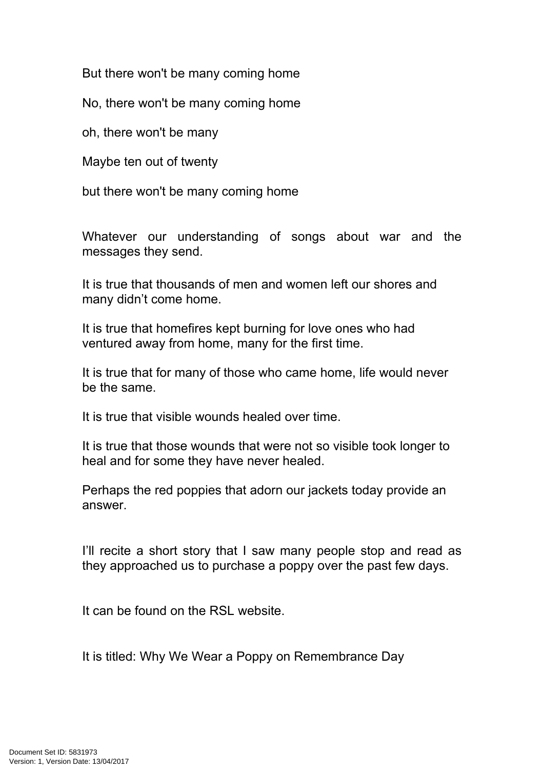But there won't be many coming home

No, there won't be many coming home

oh, there won't be many

Maybe ten out of twenty

but there won't be many coming home

Whatever our understanding of songs about war and the messages they send.

It is true that thousands of men and women left our shores and many didn't come home.

It is true that homefires kept burning for love ones who had ventured away from home, many for the first time.

It is true that for many of those who came home, life would never be the same.

It is true that visible wounds healed over time.

It is true that those wounds that were not so visible took longer to heal and for some they have never healed.

Perhaps the red poppies that adorn our jackets today provide an answer.

I'll recite a short story that I saw many people stop and read as they approached us to purchase a poppy over the past few days.

It can be found on the RSL website.

It is titled: Why We Wear a Poppy on Remembrance Day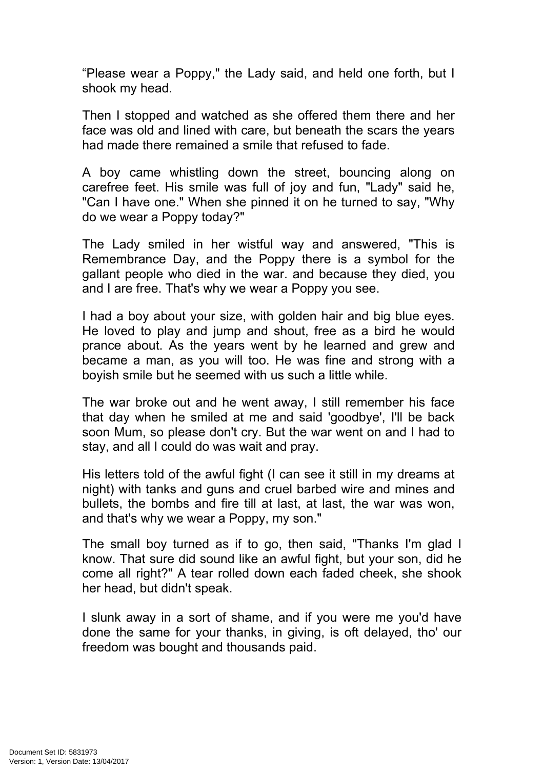"Please wear a Poppy," the Lady said, and held one forth, but I shook my head.

Then I stopped and watched as she offered them there and her face was old and lined with care, but beneath the scars the years had made there remained a smile that refused to fade.

A boy came whistling down the street, bouncing along on carefree feet. His smile was full of joy and fun, "Lady" said he, "Can I have one." When she pinned it on he turned to say, "Why do we wear a Poppy today?"

The Lady smiled in her wistful way and answered, "This is Remembrance Day, and the Poppy there is a symbol for the gallant people who died in the war. and because they died, you and I are free. That's why we wear a Poppy you see.

I had a boy about your size, with golden hair and big blue eyes. He loved to play and jump and shout, free as a bird he would prance about. As the years went by he learned and grew and became a man, as you will too. He was fine and strong with a boyish smile but he seemed with us such a little while.

The war broke out and he went away, I still remember his face that day when he smiled at me and said 'goodbye', I'll be back soon Mum, so please don't cry. But the war went on and I had to stay, and all I could do was wait and pray.

His letters told of the awful fight (I can see it still in my dreams at night) with tanks and guns and cruel barbed wire and mines and bullets, the bombs and fire till at last, at last, the war was won, and that's why we wear a Poppy, my son."

The small boy turned as if to go, then said, "Thanks I'm glad I know. That sure did sound like an awful fight, but your son, did he come all right?" A tear rolled down each faded cheek, she shook her head, but didn't speak.

I slunk away in a sort of shame, and if you were me you'd have done the same for your thanks, in giving, is oft delayed, tho' our freedom was bought and thousands paid.